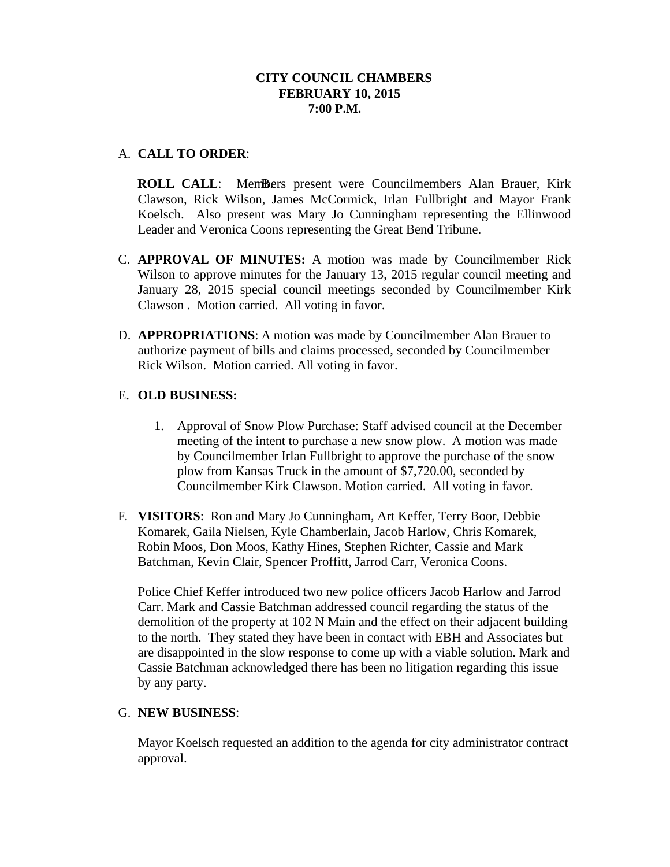# **CITY COUNCIL CHAMBERS FEBRUARY 10, 2015 7:00 P.M.**

# A. **CALL TO ORDER**:

**ROLL CALL:** Members present were Councilmembers Alan Brauer, Kirk Clawson, Rick Wilson, James McCormick, Irlan Fullbright and Mayor Frank Koelsch. Also present was Mary Jo Cunningham representing the Ellinwood Leader and Veronica Coons representing the Great Bend Tribune.

- C. **APPROVAL OF MINUTES:** A motion was made by Councilmember Rick Wilson to approve minutes for the January 13, 2015 regular council meeting and January 28, 2015 special council meetings seconded by Councilmember Kirk Clawson . Motion carried. All voting in favor.
- D. **APPROPRIATIONS**: A motion was made by Councilmember Alan Brauer to authorize payment of bills and claims processed, seconded by Councilmember Rick Wilson. Motion carried. All voting in favor.

### E. **OLD BUSINESS:**

- 1. Approval of Snow Plow Purchase: Staff advised council at the December meeting of the intent to purchase a new snow plow. A motion was made by Councilmember Irlan Fullbright to approve the purchase of the snow plow from Kansas Truck in the amount of \$7,720.00, seconded by Councilmember Kirk Clawson. Motion carried. All voting in favor.
- F. **VISITORS**: Ron and Mary Jo Cunningham, Art Keffer, Terry Boor, Debbie Komarek, Gaila Nielsen, Kyle Chamberlain, Jacob Harlow, Chris Komarek, Robin Moos, Don Moos, Kathy Hines, Stephen Richter, Cassie and Mark Batchman, Kevin Clair, Spencer Proffitt, Jarrod Carr, Veronica Coons.

Police Chief Keffer introduced two new police officers Jacob Harlow and Jarrod Carr. Mark and Cassie Batchman addressed council regarding the status of the demolition of the property at 102 N Main and the effect on their adjacent building to the north. They stated they have been in contact with EBH and Associates but are disappointed in the slow response to come up with a viable solution. Mark and Cassie Batchman acknowledged there has been no litigation regarding this issue by any party.

### G. **NEW BUSINESS**:

Mayor Koelsch requested an addition to the agenda for city administrator contract approval.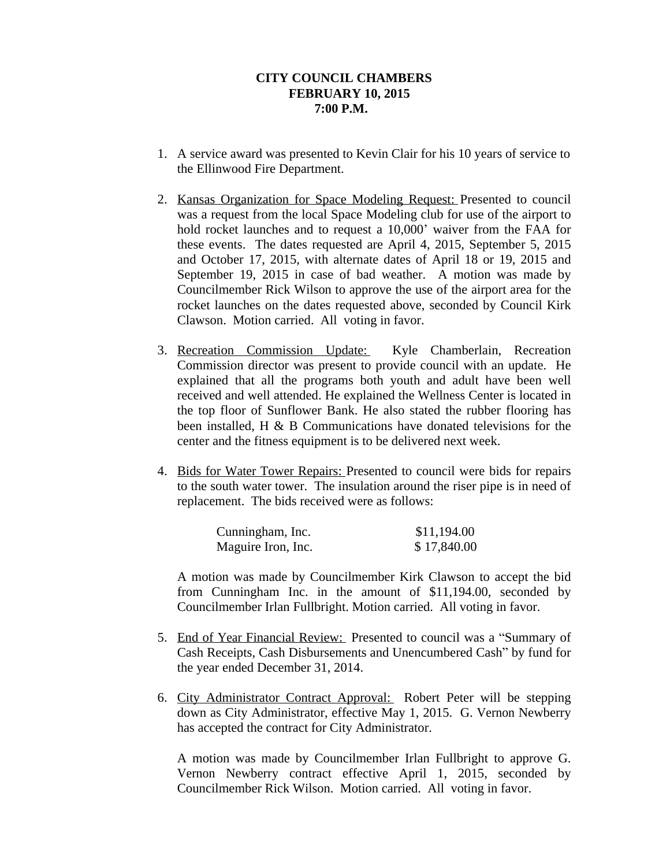# **CITY COUNCIL CHAMBERS FEBRUARY 10, 2015 7:00 P.M.**

- 1. A service award was presented to Kevin Clair for his 10 years of service to the Ellinwood Fire Department.
- 2. Kansas Organization for Space Modeling Request: Presented to council was a request from the local Space Modeling club for use of the airport to hold rocket launches and to request a 10,000' waiver from the FAA for these events. The dates requested are April 4, 2015, September 5, 2015 and October 17, 2015, with alternate dates of April 18 or 19, 2015 and September 19, 2015 in case of bad weather. A motion was made by Councilmember Rick Wilson to approve the use of the airport area for the rocket launches on the dates requested above, seconded by Council Kirk Clawson. Motion carried. All voting in favor.
- 3. Recreation Commission Update: Kyle Chamberlain, Recreation Commission director was present to provide council with an update. He explained that all the programs both youth and adult have been well received and well attended. He explained the Wellness Center is located in the top floor of Sunflower Bank. He also stated the rubber flooring has been installed, H & B Communications have donated televisions for the center and the fitness equipment is to be delivered next week.
- 4. Bids for Water Tower Repairs: Presented to council were bids for repairs to the south water tower. The insulation around the riser pipe is in need of replacement. The bids received were as follows:

| Cunningham, Inc.   | \$11,194.00 |
|--------------------|-------------|
| Maguire Iron, Inc. | \$17,840.00 |

A motion was made by Councilmember Kirk Clawson to accept the bid from Cunningham Inc. in the amount of \$11,194.00, seconded by Councilmember Irlan Fullbright. Motion carried. All voting in favor.

- 5. End of Year Financial Review: Presented to council was a "Summary of Cash Receipts, Cash Disbursements and Unencumbered Cash" by fund for the year ended December 31, 2014.
- 6. City Administrator Contract Approval: Robert Peter will be stepping down as City Administrator, effective May 1, 2015. G. Vernon Newberry has accepted the contract for City Administrator.

A motion was made by Councilmember Irlan Fullbright to approve G. Vernon Newberry contract effective April 1, 2015, seconded by Councilmember Rick Wilson. Motion carried. All voting in favor.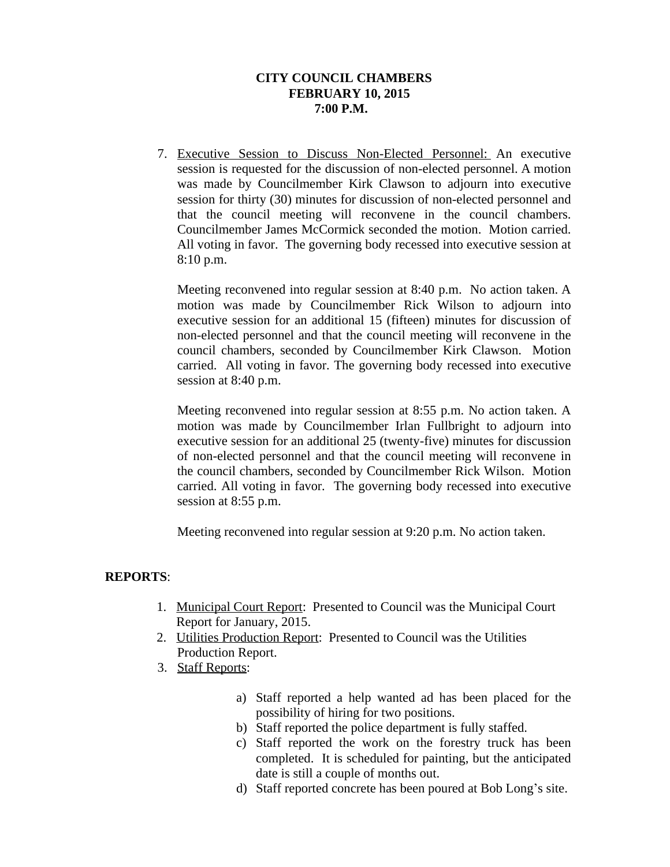# **CITY COUNCIL CHAMBERS FEBRUARY 10, 2015 7:00 P.M.**

7. Executive Session to Discuss Non-Elected Personnel: An executive session is requested for the discussion of non-elected personnel. A motion was made by Councilmember Kirk Clawson to adjourn into executive session for thirty (30) minutes for discussion of non-elected personnel and that the council meeting will reconvene in the council chambers. Councilmember James McCormick seconded the motion. Motion carried. All voting in favor. The governing body recessed into executive session at 8:10 p.m.

Meeting reconvened into regular session at 8:40 p.m. No action taken. A motion was made by Councilmember Rick Wilson to adjourn into executive session for an additional 15 (fifteen) minutes for discussion of non-elected personnel and that the council meeting will reconvene in the council chambers, seconded by Councilmember Kirk Clawson. Motion carried. All voting in favor. The governing body recessed into executive session at 8:40 p.m.

Meeting reconvened into regular session at 8:55 p.m. No action taken. A motion was made by Councilmember Irlan Fullbright to adjourn into executive session for an additional 25 (twenty-five) minutes for discussion of non-elected personnel and that the council meeting will reconvene in the council chambers, seconded by Councilmember Rick Wilson. Motion carried. All voting in favor. The governing body recessed into executive session at 8:55 p.m.

Meeting reconvened into regular session at 9:20 p.m. No action taken.

#### **REPORTS**:

- 1. Municipal Court Report: Presented to Council was the Municipal Court Report for January, 2015.
- 2. Utilities Production Report: Presented to Council was the Utilities Production Report.
- 3. Staff Reports:
	- a) Staff reported a help wanted ad has been placed for the possibility of hiring for two positions.
	- b) Staff reported the police department is fully staffed.
	- c) Staff reported the work on the forestry truck has been completed. It is scheduled for painting, but the anticipated date is still a couple of months out.
	- d) Staff reported concrete has been poured at Bob Long's site.